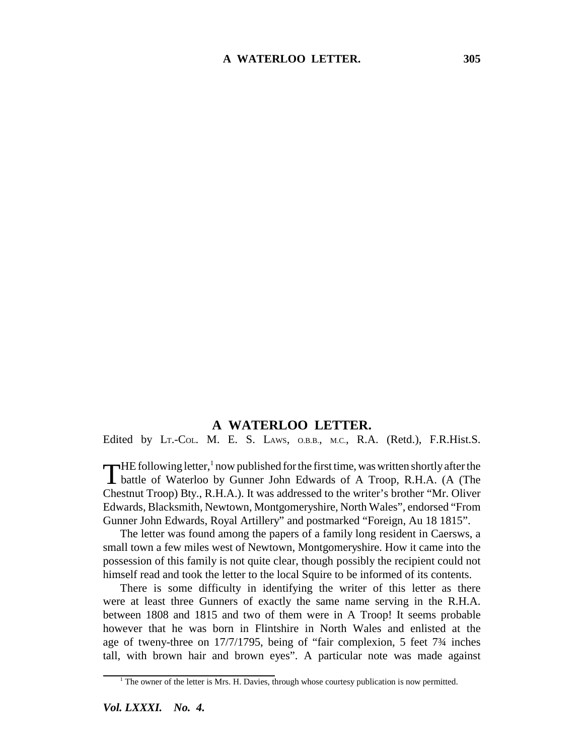## **A WATERLOO LETTER.**

Edited by LT.-COL. M. E. S. LAWS, O.B.B., M.C., R.A. (Retd.), F.R.Hist.S.

THE following letter,<sup>1</sup> now published for the first time, was written shortly after the battle of Waterloo by Gunner John Edwards of A Troop, R.H.A. (A (The  $\mathbf{\tau}$ HE following letter,<sup>1</sup> now published for the first time, was written shortly after the Chestnut Troop) Bty., R.H.A.). It was addressed to the writer's brother "Mr. Oliver Edwards, Blacksmith, Newtown, Montgomeryshire, North Wales", endorsed "From Gunner John Edwards, Royal Artillery" and postmarked "Foreign, Au 18 1815".

The letter was found among the papers of a family long resident in Caersws, a small town a few miles west of Newtown, Montgomeryshire. How it came into the possession of this family is not quite clear, though possibly the recipient could not himself read and took the letter to the local Squire to be informed of its contents.

There is some difficulty in identifying the writer of this letter as there were at least three Gunners of exactly the same name serving in the R.H.A. between 1808 and 1815 and two of them were in A Troop! It seems probable however that he was born in Flintshire in North Wales and enlisted at the age of tweny-three on 17/7/1795, being of "fair complexion, 5 feet 7¾ inches tall, with brown hair and brown eyes". A particular note was made against

<sup>&</sup>lt;sup>1</sup> The owner of the letter is Mrs. H. Davies, through whose courtesy publication is now permitted.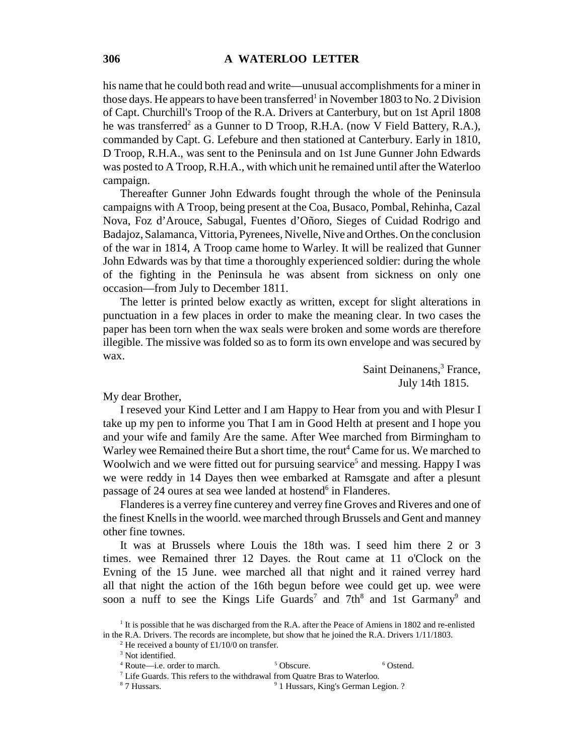## **306 A WATERLOO LETTER**

his name that he could both read and write—unusual accomplishments for a miner in those days. He appears to have been transferred<sup>1</sup> in November 1803 to No. 2 Division of Capt. Churchill's Troop of the R.A. Drivers at Canterbury, but on 1st April 1808 he was transferred<sup>2</sup> as a Gunner to D Troop, R.H.A. (now V Field Battery, R.A.), commanded by Capt. G. Lefebure and then stationed at Canterbury. Early in 1810, D Troop, R.H.A., was sent to the Peninsula and on 1st June Gunner John Edwards was posted to A Troop, R.H.A., with which unit he remained until after the Waterloo campaign.

Thereafter Gunner John Edwards fought through the whole of the Peninsula campaigns with A Troop, being present at the Coa, Busaco, Pombal, Rehinha, Cazal Nova, Foz d'Arouce, Sabugal, Fuentes d'Oñoro, Sieges of Cuidad Rodrigo and Badajoz, Salamanca, Vittoria, Pyrenees, Nivelle, Nive and Orthes. On the conclusion of the war in 1814, A Troop came home to Warley. It will be realized that Gunner John Edwards was by that time a thoroughly experienced soldier: during the whole of the fighting in the Peninsula he was absent from sickness on only one occasion—from July to December 1811.

The letter is printed below exactly as written, except for slight alterations in punctuation in a few places in order to make the meaning clear. In two cases the paper has been torn when the wax seals were broken and some words are therefore illegible. The missive was folded so as to form its own envelope and was secured by wax.

> Saint Deinanens,<sup>3</sup> France, July 14th 1815.

My dear Brother,

I reseved your Kind Letter and I am Happy to Hear from you and with Plesur I take up my pen to informe you That I am in Good Helth at present and I hope you and your wife and family Are the same. After Wee marched from Birmingham to Warley wee Remained theire But a short time, the rout<sup>4</sup> Came for us. We marched to Woolwich and we were fitted out for pursuing searvice<sup>5</sup> and messing. Happy I was we were reddy in 14 Dayes then wee embarked at Ramsgate and after a plesunt passage of 24 oures at sea wee landed at hostend<sup>6</sup> in Flanderes.

Flanderes is a verrey fine cunterey and verrey fine Groves and Riveres and one of the finest Knells in the woorld. wee marched through Brussels and Gent and manney other fine townes.

It was at Brussels where Louis the 18th was. I seed him there 2 or 3 times. wee Remained threr 12 Dayes. the Rout came at 11 o'Clock on the Evning of the 15 June. wee marched all that night and it rained verrey hard all that night the action of the 16th begun before wee could get up. wee were soon a nuff to see the Kings Life Guards<sup>7</sup> and 7th<sup>8</sup> and 1st Garmany<sup>9</sup> and

<sup>&</sup>lt;sup>1</sup> It is possible that he was discharged from the R.A. after the Peace of Amiens in 1802 and re-enlisted in the R.A. Drivers. The records are incomplete, but show that he joined the R.A. Drivers 1/11/1803.

<sup>&</sup>lt;sup>2</sup> He received a bounty of £1/10/0 on transfer.

<sup>&</sup>lt;sup>3</sup> Not identified.

<sup>&</sup>lt;sup>4</sup> Route—i.e. order to march.<sup>5</sup> <sup>5</sup> Obscure. <sup>6</sup> Ostend.

 $7$  Life Guards. This refers to the withdrawal from Quatre Bras to Waterloo.

<sup>&</sup>lt;sup>8</sup> 7 Hussars. 9 <sup>9</sup> 1 Hussars, King's German Legion. ?